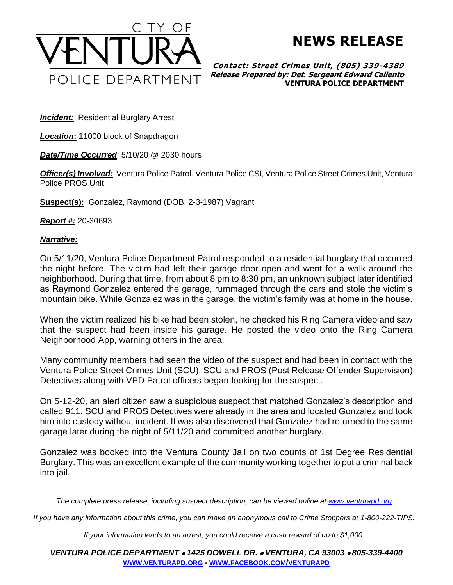

**NEWS RELEASE**

**Contact: Street Crimes Unit, (805) 339-4389 Release Prepared by: Det. Sergeant Edward Caliento VENTURA POLICE DEPARTMENT**

**Incident:** Residential Burglary Arrest

*Location***:** 11000 block of Snapdragon

*Date/Time Occurred*: 5/10/20 @ 2030 hours

*Officer(s) Involved:* Ventura Police Patrol, Ventura Police CSI, Ventura Police Street Crimes Unit, Ventura Police PROS Unit

**Suspect(s):** Gonzalez, Raymond (DOB: 2-3-1987) Vagrant

*Report #:* 20-30693

## *Narrative:*

On 5/11/20, Ventura Police Department Patrol responded to a residential burglary that occurred the night before. The victim had left their garage door open and went for a walk around the neighborhood. During that time, from about 8 pm to 8:30 pm, an unknown subject later identified as Raymond Gonzalez entered the garage, rummaged through the cars and stole the victim's mountain bike. While Gonzalez was in the garage, the victim's family was at home in the house.

When the victim realized his bike had been stolen, he checked his Ring Camera video and saw that the suspect had been inside his garage. He posted the video onto the Ring Camera Neighborhood App, warning others in the area.

Many community members had seen the video of the suspect and had been in contact with the Ventura Police Street Crimes Unit (SCU). SCU and PROS (Post Release Offender Supervision) Detectives along with VPD Patrol officers began looking for the suspect.

On 5-12-20, an alert citizen saw a suspicious suspect that matched Gonzalez's description and called 911. SCU and PROS Detectives were already in the area and located Gonzalez and took him into custody without incident. It was also discovered that Gonzalez had returned to the same garage later during the night of 5/11/20 and committed another burglary.

Gonzalez was booked into the Ventura County Jail on two counts of 1st Degree Residential Burglary. This was an excellent example of the community working together to put a criminal back into jail.

*The complete press release, including suspect description, can be viewed online at [www.venturapd.org](http://www.venturapd.org/)*

*If you have any information about this crime, you can make an anonymous call to Crime Stoppers at 1-800-222-TIPS.*

*If your information leads to an arrest, you could receive a cash reward of up to \$1,000.*

*VENTURA POLICE DEPARTMENT* • *1425 DOWELL DR.* • *VENTURA, CA 93003* • *805-339-4400* **WWW.[VENTURAPD](http://www.venturapd.org/).ORG** *-* **WWW.FACEBOOK.COM/[VENTURAPD](http://www.facebook.com/venturapd)**